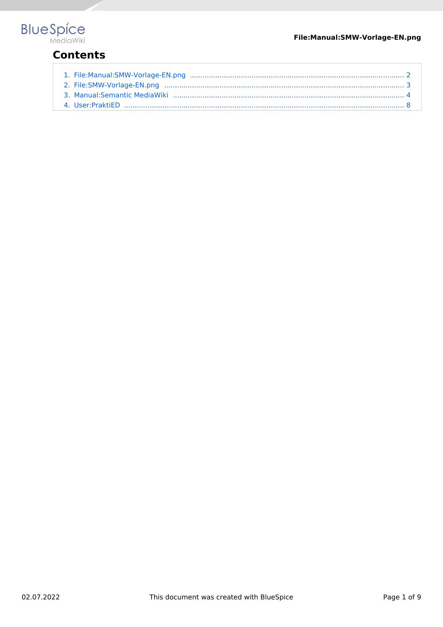# **BlueSpice**

# **Contents**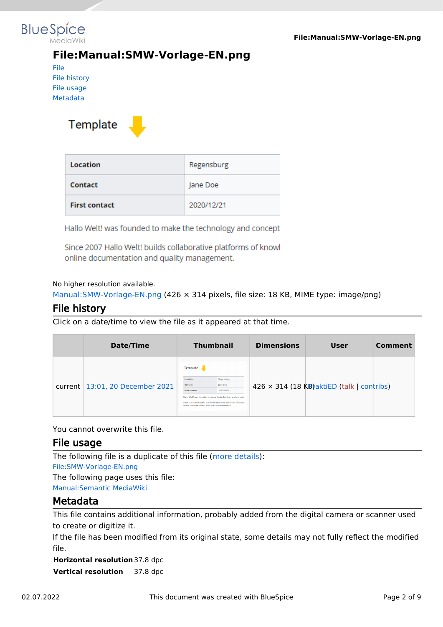<span id="page-1-0"></span>

# **File:Manual:SMW-Vorlage-EN.png**

[File](#page-2-1) [File history](#page-2-2) [File usage](#page-2-3) [Metadata](#page-2-4)

Template



| Location             | Regensburg |
|----------------------|------------|
| Contact              | Jane Doe   |
| <b>First contact</b> | 2020/12/21 |

Hallo Welt! was founded to make the technology and concept

Since 2007 Hallo Welt! builds collaborative platforms of knowl online documentation and quality management.

#### No higher resolution available.

[Manual:SMW-Vorlage-EN.png](#page-1-0) (426 × 314 pixels, file size: 18 KB, MIME type: image/png)

## File history

Click on a date/time to view the file as it appeared at that time.

| Date/Time                         |                                                                                                         | <b>Thumbnail</b>                                                                                                                                                            | <b>Dimensions</b> | User                                              | Comment |
|-----------------------------------|---------------------------------------------------------------------------------------------------------|-----------------------------------------------------------------------------------------------------------------------------------------------------------------------------|-------------------|---------------------------------------------------|---------|
| current   13:01, 20 December 2021 | Template<br>Location<br>Contact<br><b>First contact</b><br>online documentation and quality management. | Regensburg<br><b>Jane Doe</b><br>2020/12/21<br>Hallo Welt! was founded to make the technology and concept<br>Since 2007 Hallo Welt! builds collaborative platforms of knowl |                   | $426 \times 314$ (18 KB) aktiED (talk   contribs) |         |

You cannot overwrite this file.

#### File usage

The following file is a duplicate of this file ([more details](https://en.wiki.bluespice.com/wiki/Special:FileDuplicateSearch/Manual:SMW-Vorlage-EN.png)): [File:SMW-Vorlage-EN.png](#page-2-0) The following page uses this file: [Manual:Semantic MediaWiki](#page-3-0)

## Metadata

This file contains additional information, probably added from the digital camera or scanner used to create or digitize it.

If the file has been modified from its original state, some details may not fully reflect the modified file.

**Horizontal resolution** 37.8 dpc **Vertical resolution** 37.8 dpc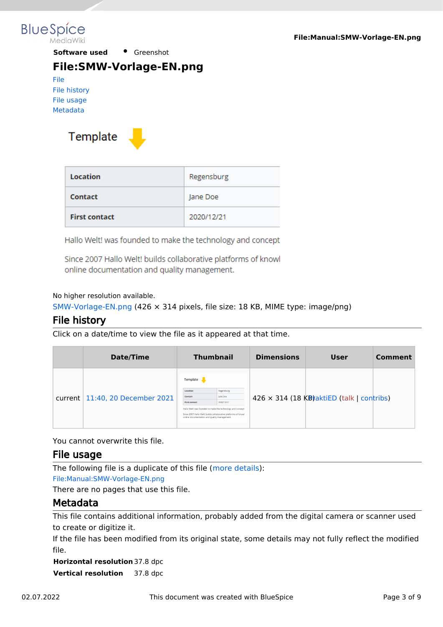<span id="page-2-0"></span>

**Software used •** Greenshot

## **File:SMW-Vorlage-EN.png**

[File](#page-2-1) [File history](#page-2-2) [File usage](#page-2-3) [Metadata](#page-2-4)

<span id="page-2-1"></span>

| Location             | Regensburg |
|----------------------|------------|
| Contact              | Jane Doe   |
| <b>First contact</b> | 2020/12/21 |

Hallo Welt! was founded to make the technology and concept

Since 2007 Hallo Welt! builds collaborative platforms of knowl online documentation and quality management.

#### No higher resolution available.

[SMW-Vorlage-EN.png](#page-2-0) (426 × 314 pixels, file size: 18 KB, MIME type: image/png)

## <span id="page-2-2"></span>File history

Click on a date/time to view the file as it appeared at that time.

| Date/Time                          |                                                                                                         | <b>Thumbnail</b>                                                                                                                                                     | <b>Dimensions</b> | <b>User</b>                                       | Comment |
|------------------------------------|---------------------------------------------------------------------------------------------------------|----------------------------------------------------------------------------------------------------------------------------------------------------------------------|-------------------|---------------------------------------------------|---------|
| current $11:40$ , 20 December 2021 | Template<br>Location<br>Contact<br><b>First contact</b><br>online documentation and quality management. | Regensburg<br>lane Doe<br>2020/12/21<br>Hallo Welt! was founded to make the technology and concept<br>Since 2007 Hallo Welt! builds collaborative platforms of knowl |                   | $426 \times 314$ (18 KB) aktiED (talk   contribs) |         |

You cannot overwrite this file.

## <span id="page-2-3"></span>File usage

The following file is a duplicate of this file ([more details](https://en.wiki.bluespice.com/wiki/Special:FileDuplicateSearch/SMW-Vorlage-EN.png)): [File:Manual:SMW-Vorlage-EN.png](#page-1-0) There are no pages that use this file.

## <span id="page-2-4"></span>Metadata

This file contains additional information, probably added from the digital camera or scanner used to create or digitize it.

If the file has been modified from its original state, some details may not fully reflect the modified file.

**Horizontal resolution** 37.8 dpc **Vertical resolution** 37.8 dpc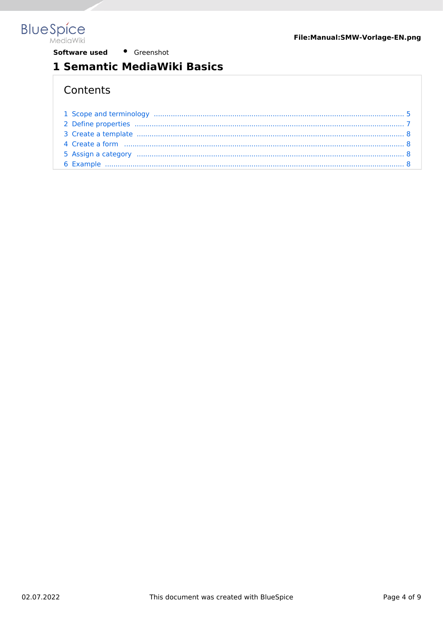<span id="page-3-0"></span>

Software used • Greenshot

# 1 Semantic MediaWiki Basics

# Contents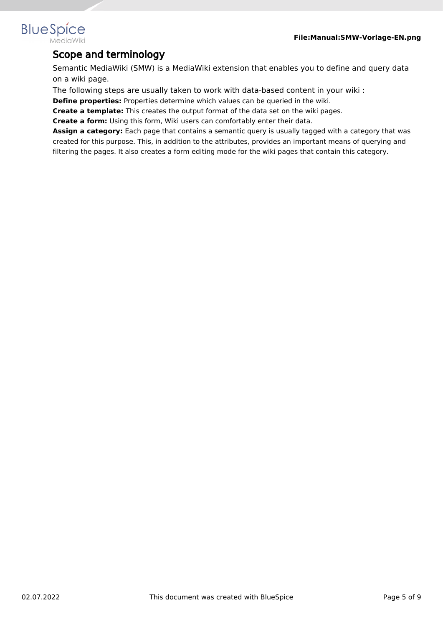## <span id="page-4-0"></span>**BlueSpice** MediaWiki

# Scope and terminology

Semantic MediaWiki (SMW) is a MediaWiki extension that enables you to define and query data on a wiki page.

The following steps are usually taken to work with data-based content in your wiki :

**Define properties:** Properties determine which values can be queried in the wiki.

**Create a template:** This creates the output format of the data set on the wiki pages.

**Create a form:** Using this form, Wiki users can comfortably enter their data.

**Assign a category:** Each page that contains a semantic query is usually tagged with a category that was created for this purpose. This, in addition to the attributes, provides an important means of querying and filtering the pages. It also creates a form editing mode for the wiki pages that contain this category.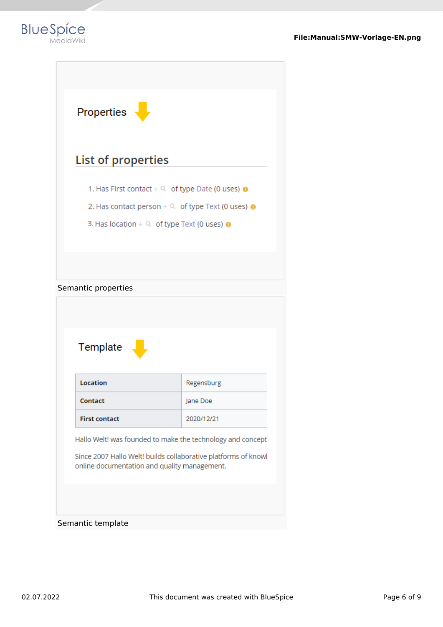

| Properties                                                  |
|-------------------------------------------------------------|
| List of properties                                          |
| 1. Has First contact $+$ Q of type Date (0 uses) $\bullet$  |
| 2. Has contact person $+$ Q of type Text (0 uses) $\bullet$ |
| 3. Has location + $\Omega$ of type Text (0 uses) $\bullet$  |
|                                                             |
|                                                             |
| Semantic properties                                         |
|                                                             |
|                                                             |
|                                                             |

| Template                                                                                                       |            |  |
|----------------------------------------------------------------------------------------------------------------|------------|--|
| Location                                                                                                       | Regensburg |  |
| Contact                                                                                                        | Jane Doe   |  |
| <b>First contact</b>                                                                                           | 2020/12/21 |  |
| Hallo Welt! was founded to make the technology and concept                                                     |            |  |
| Since 2007 Hallo Welt! builds collaborative platforms of knowl<br>online documentation and quality management. |            |  |

## Semantic template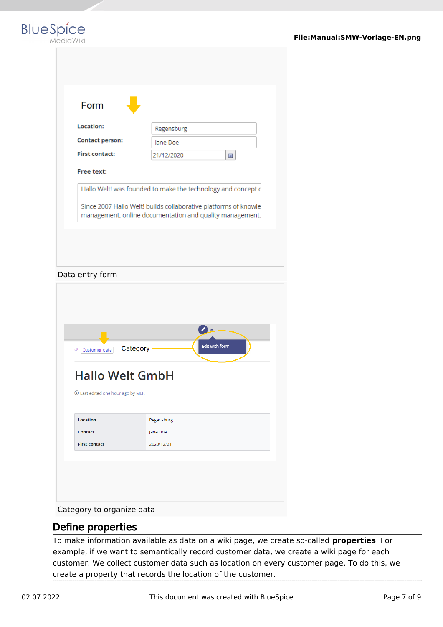|  |  | BlueSpíce |  |
|--|--|-----------|--|
|  |  | MediaWiki |  |

| Form<br>Location:<br>Regensburg<br><b>Contact person:</b><br>Jane Doe<br><b>First contact:</b><br>21/12/2020<br>当<br>Free text:<br>Hallo Welt! was founded to make the technology and concept o<br>Since 2007 Hallo Welt! builds collaborative platforms of knowle<br>management, online documentation and quality management.<br>Edit with form<br>Category<br>Customer data<br><b>Hallo Welt GmbH</b><br>10 Last edited one hour ago by MLR<br><b>Location</b><br>Regensburg<br><b>Contact</b><br>Jane Doe<br><b>First contact</b><br>2020/12/21 | Data entry form |  |  |
|----------------------------------------------------------------------------------------------------------------------------------------------------------------------------------------------------------------------------------------------------------------------------------------------------------------------------------------------------------------------------------------------------------------------------------------------------------------------------------------------------------------------------------------------------|-----------------|--|--|
|                                                                                                                                                                                                                                                                                                                                                                                                                                                                                                                                                    |                 |  |  |
|                                                                                                                                                                                                                                                                                                                                                                                                                                                                                                                                                    |                 |  |  |
|                                                                                                                                                                                                                                                                                                                                                                                                                                                                                                                                                    |                 |  |  |
|                                                                                                                                                                                                                                                                                                                                                                                                                                                                                                                                                    |                 |  |  |
|                                                                                                                                                                                                                                                                                                                                                                                                                                                                                                                                                    |                 |  |  |
|                                                                                                                                                                                                                                                                                                                                                                                                                                                                                                                                                    |                 |  |  |
|                                                                                                                                                                                                                                                                                                                                                                                                                                                                                                                                                    |                 |  |  |
|                                                                                                                                                                                                                                                                                                                                                                                                                                                                                                                                                    |                 |  |  |
|                                                                                                                                                                                                                                                                                                                                                                                                                                                                                                                                                    |                 |  |  |
|                                                                                                                                                                                                                                                                                                                                                                                                                                                                                                                                                    |                 |  |  |
|                                                                                                                                                                                                                                                                                                                                                                                                                                                                                                                                                    |                 |  |  |
|                                                                                                                                                                                                                                                                                                                                                                                                                                                                                                                                                    |                 |  |  |
|                                                                                                                                                                                                                                                                                                                                                                                                                                                                                                                                                    |                 |  |  |
|                                                                                                                                                                                                                                                                                                                                                                                                                                                                                                                                                    |                 |  |  |
|                                                                                                                                                                                                                                                                                                                                                                                                                                                                                                                                                    |                 |  |  |
|                                                                                                                                                                                                                                                                                                                                                                                                                                                                                                                                                    |                 |  |  |
|                                                                                                                                                                                                                                                                                                                                                                                                                                                                                                                                                    |                 |  |  |

Category to organize data

## <span id="page-6-0"></span>Define properties

To make information available as data on a wiki page, we create so-called **properties**. For example, if we want to semantically record customer data, we create a wiki page for each customer. We collect customer data such as location on every customer page. To do this, we create a property that records the location of the customer.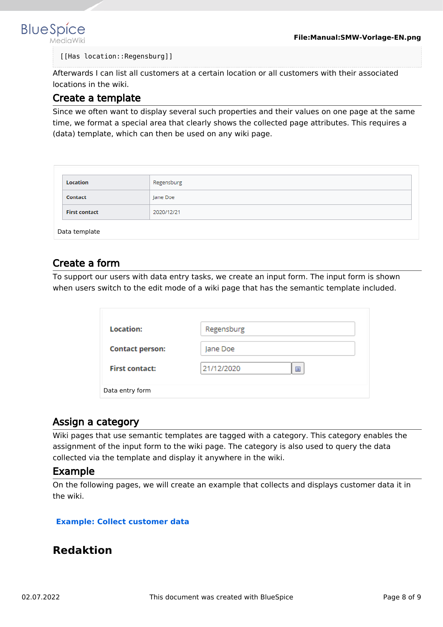

#### [[Has location::Regensburg]]

Afterwards I can list all customers at a certain location or all customers with their associated locations in the wiki.

## <span id="page-7-1"></span>Create a template

Since we often want to display several such properties and their values on one page at the same time, we format a special area that clearly shows the collected page attributes. This requires a (data) template, which can then be used on any wiki page.

| Location                           | Regensburg |  |  |  |  |
|------------------------------------|------------|--|--|--|--|
| Contact                            | Jane Doe   |  |  |  |  |
| <b>First contact</b><br>2020/12/21 |            |  |  |  |  |
| Data template                      |            |  |  |  |  |

## <span id="page-7-2"></span>Create a form

To support our users with data entry tasks, we create an input form. The input form is shown when users switch to the edit mode of a wiki page that has the semantic template included.

| Location:              | Regensburg      |
|------------------------|-----------------|
| <b>Contact person:</b> | Jane Doe        |
| <b>First contact:</b>  | 21/12/2020<br>道 |
| Data entry form        |                 |

## <span id="page-7-3"></span>Assign a category

Wiki pages that use semantic templates are tagged with a category. This category enables the assignment of the input form to the wiki page. The category is also used to query the data collected via the template and display it anywhere in the wiki.

#### <span id="page-7-4"></span>Example

On the following pages, we will create an example that collects and displays customer data it in the wiki.

#### **[Example: Collect customer data](https://en.wiki.bluespice.com/wiki/Manual:Semantic_MediaWiki/Examples/Customer_data)**

## <span id="page-7-0"></span>**Redaktion**